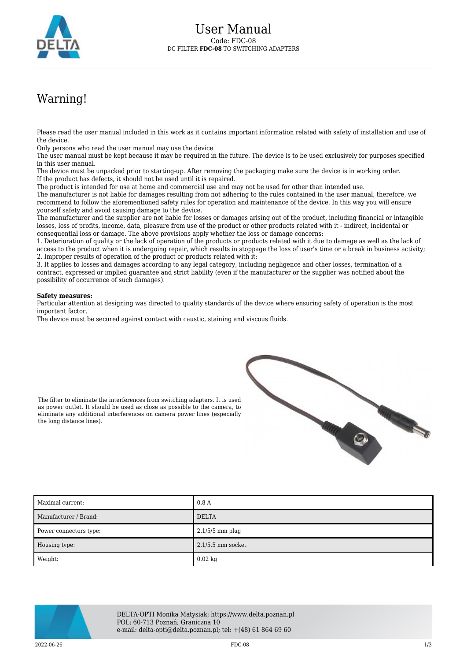

## Warning!

Please read the user manual included in this work as it contains important information related with safety of installation and use of the device.

Only persons who read the user manual may use the device.

The user manual must be kept because it may be required in the future. The device is to be used exclusively for purposes specified in this user manual.

The device must be unpacked prior to starting-up. After removing the packaging make sure the device is in working order. If the product has defects, it should not be used until it is repaired.

The product is intended for use at home and commercial use and may not be used for other than intended use.

The manufacturer is not liable for damages resulting from not adhering to the rules contained in the user manual, therefore, we recommend to follow the aforementioned safety rules for operation and maintenance of the device. In this way you will ensure yourself safety and avoid causing damage to the device.

The manufacturer and the supplier are not liable for losses or damages arising out of the product, including financial or intangible losses, loss of profits, income, data, pleasure from use of the product or other products related with it - indirect, incidental or consequential loss or damage. The above provisions apply whether the loss or damage concerns:

1. Deterioration of quality or the lack of operation of the products or products related with it due to damage as well as the lack of access to the product when it is undergoing repair, which results in stoppage the loss of user's time or a break in business activity; 2. Improper results of operation of the product or products related with it;

3. It applies to losses and damages according to any legal category, including negligence and other losses, termination of a contract, expressed or implied guarantee and strict liability (even if the manufacturer or the supplier was notified about the possibility of occurrence of such damages).

## **Safety measures:**

the long distance lines).

Particular attention at designing was directed to quality standards of the device where ensuring safety of operation is the most important factor.

The device must be secured against contact with caustic, staining and viscous fluids.

The filter to eliminate the interferences from switching adapters. It is used as power outlet. It should be used as close as possible to the camera, to eliminate any additional interferences on camera power lines (especially



|  |  | the contract of the contract of the contract of the contract of the contract of the contract of the contract of                                                                                                               |  |
|--|--|-------------------------------------------------------------------------------------------------------------------------------------------------------------------------------------------------------------------------------|--|
|  |  |                                                                                                                                                                                                                               |  |
|  |  |                                                                                                                                                                                                                               |  |
|  |  |                                                                                                                                                                                                                               |  |
|  |  | $\equiv$ $\equiv$ $\equiv$ $\equiv$                                                                                                                                                                                           |  |
|  |  |                                                                                                                                                                                                                               |  |
|  |  | the control of the control of the control of the control of the control of the control of the control of the control of the control of the control of the control of the control of the control of the control of the control |  |
|  |  |                                                                                                                                                                                                                               |  |
|  |  |                                                                                                                                                                                                                               |  |
|  |  |                                                                                                                                                                                                                               |  |

| Maximal current:       | 0.8A                |
|------------------------|---------------------|
| Manufacturer / Brand:  | <b>DELTA</b>        |
| Power connectors type: | $2.1/5/5$ mm plug   |
| Housing type:          | $2.1/5.5$ mm socket |
| Weight:                | $0.02 \text{ kg}$   |



DELTA-OPTI Monika Matysiak; https://www.delta.poznan.pl POL; 60-713 Poznań; Graniczna 10 e-mail: delta-opti@delta.poznan.pl; tel: +(48) 61 864 69 60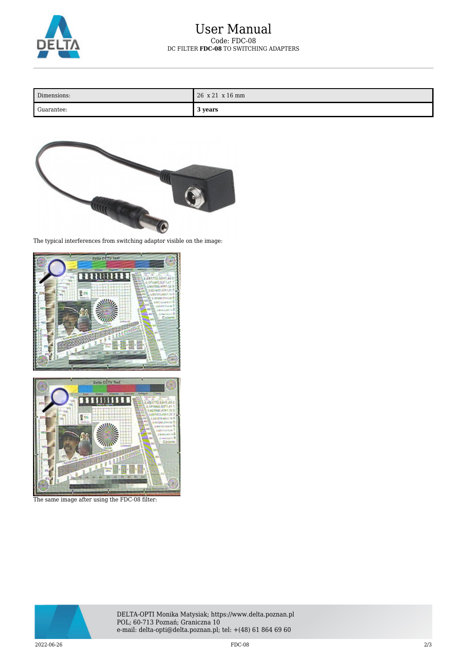

| Dimensions: | 26 x 21 x 16 mm |
|-------------|-----------------|
| Guarantee:  | 3 years         |



The typical interferences from switching adaptor visible on the image:



The same image after using the FDC-08 filter:



DELTA-OPTI Monika Matysiak; https://www.delta.poznan.pl POL; 60-713 Poznań; Graniczna 10 e-mail: delta-opti@delta.poznan.pl; tel: +(48) 61 864 69 60